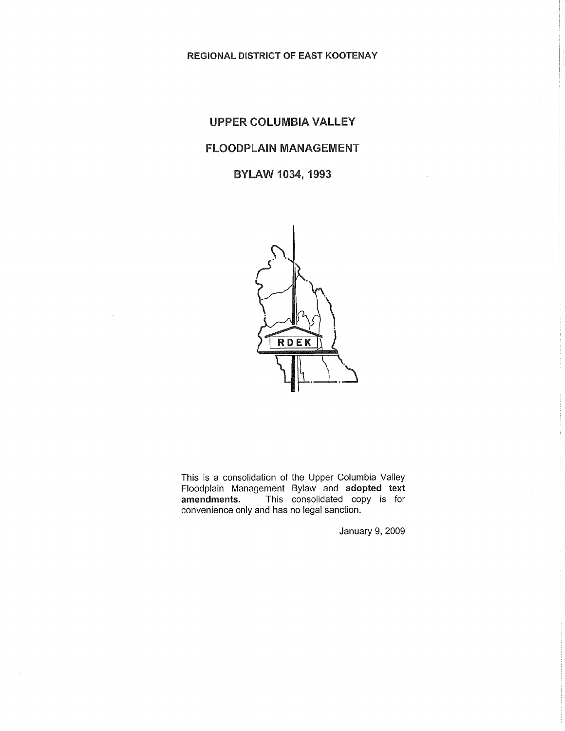REGIONAL DISTRICT OF EAST KOOTENAY

## UPPER COLUMBIA VALLEY FLOODPLAIN MANAGEMENT BYLAW 1034, 1993



This is a consolidation of the Upper Columbia Valley Floodplain Management Bylaw and adopted text<br>amendments. This consolidated copy is for This consolidated copy is for convenience only and has no legal sanction.

January 9, 2009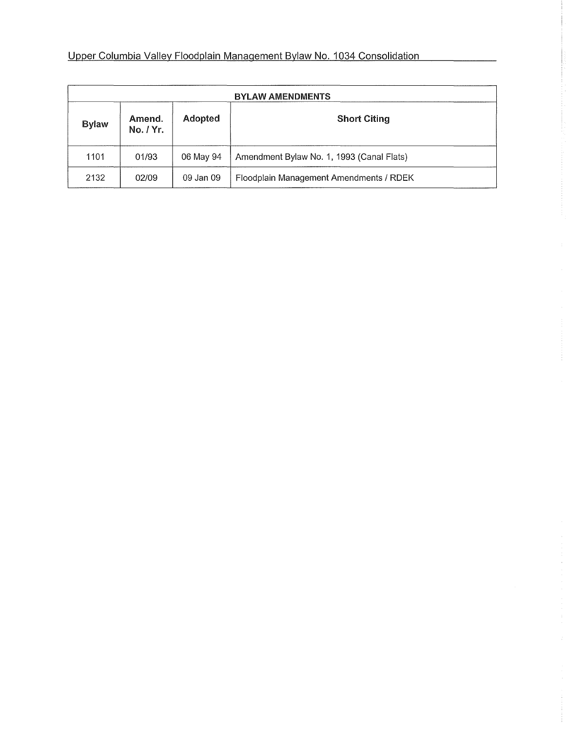| <b>BYLAW AMENDMENTS</b> |                     |           |                                           |  |  |
|-------------------------|---------------------|-----------|-------------------------------------------|--|--|
| <b>Bylaw</b>            | Amend.<br>No. / Yr. | Adopted   | <b>Short Citing</b>                       |  |  |
| 1101                    | 01/93               | 06 May 94 | Amendment Bylaw No. 1, 1993 (Canal Flats) |  |  |
| 2132                    | 02/09               | 09 Jan 09 | Floodplain Management Amendments / RDEK   |  |  |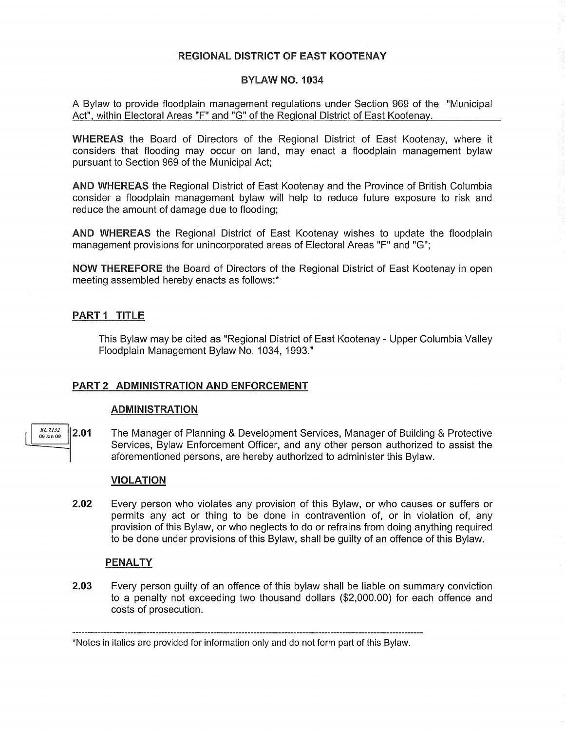#### REGIONAL DISTRICT OF EAST KOOTENAY

#### BYLAW NO. 1034

A Bylaw to provide floodplain management regulations under Section 969 of the "Municipal Act", within Electoral Areas "F" and "G" of the Regional District of East Kootenay.

WHEREAS the Board of Directors of the Regional District of East Kootenay, where it considers that flooding may occur on land, may enact a floodplain management bylaw pursuant to Section 969 of the Municipal Act;

AND WHEREAS the Regional District of East Kootenay and the Province of British Columbia consider a floodplain management bylaw will help to reduce future exposure to risk and reduce the amount of damage due to flooding;

AND WHEREAS the Regional District of East Kootenay wishes to update the floodplain management provisions for unincorporated areas of Electoral Areas "F" and "G";

NOW THEREFORE the Board of Directors of the Regional District of East Kootenay in open meeting assembled hereby enacts as follows:\*

#### PART 1 TITLE

This Bylaw may be cited as "Regional District of East Kootenay - Upper Columbia Valley Floodplain Management Bylaw No. 1034, 1993."

#### PART 2 ADMINISTRATION AND ENFORCEMENT

#### ADMINISTRATION

*BL 2132*<br>09 Jan 09 2.01 The Manager of Planning & Development Services, Manager of Building & Protective Services, Bylaw Enforcement Officer, and any other person authorized to assist the aforementioned persons, are hereby authorized to administer this Bylaw.

#### VIOLATION

2.02 Every person who violates any provision of this Bylaw, or who causes or suffers or permits any act or thing to be done in contravention of, or in violation of, any provision of this Bylaw, or who neglects to do or refrains from doing anything required to be done under provisions of this Bylaw, shall be guilty of an offence of this Bylaw.

#### PENALTY

2.03 Every person guilty of an offence of this bylaw shall be liable on summary conviction to a penalty not exceeding two thousand dollars (\$2,000.00) for each offence and costs of prosecution.

<sup>\*</sup>Notes in italics are provided for information only and do not form part of this Bylaw.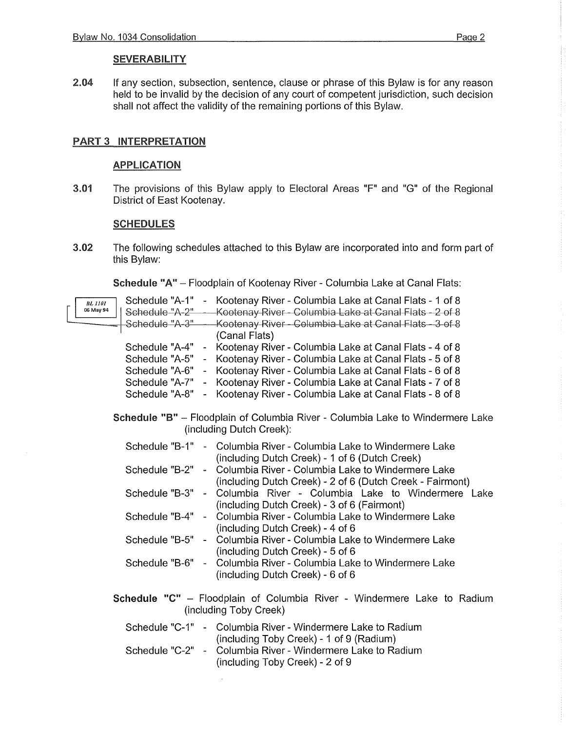#### **SEVERABILITY**

2.04 If any section, subsection, sentence, clause or phrase of this Bylaw is for any reason held to be invalid by the decision of any court of competent jurisdiction, such decision shall not affect the validity of the remaining portions of this Bylaw.

#### PART 3 INTERPRETATION

#### APPLICATION

3.01 The provisions of this Bylaw apply to Electoral Areas "F" and "G" of the Regional District of East Kootenay.

#### **SCHEDULES**

3.02 The following schedules attached to this Bylaw are incorporated into and form part of this Bylaw:

Schedule "A" - Floodplain of Kootenay River - Columbia Lake at Canal Flats:

| <b>BL</b> 1101<br>06 May 94<br>Schedule "A-2"<br>Schedule "A-3"-                                           | Schedule "A-1" - Kootenay River - Columbia Lake at Canal Flats - 1 of 8<br>Kootenay River - Columbia Lake at Canal Flats - 2 of 8<br>Kootenay River - Columbia Lake at Canal Flats - 3 of 8<br>(Canal Flats) |  |  |  |  |
|------------------------------------------------------------------------------------------------------------|--------------------------------------------------------------------------------------------------------------------------------------------------------------------------------------------------------------|--|--|--|--|
| Schedule "A-4"<br>$\frac{1}{2}$                                                                            | Kootenay River - Columbia Lake at Canal Flats - 4 of 8                                                                                                                                                       |  |  |  |  |
| Schedule "A-5"                                                                                             | Kootenay River - Columbia Lake at Canal Flats - 5 of 8                                                                                                                                                       |  |  |  |  |
| Schedule "A-6"<br>$\sim$                                                                                   | Kootenay River - Columbia Lake at Canal Flats - 6 of 8                                                                                                                                                       |  |  |  |  |
| Schedule "A-7"                                                                                             | - Kootenay River - Columbia Lake at Canal Flats - 7 of 8                                                                                                                                                     |  |  |  |  |
| Schedule "A-8"<br>$\mathbf{z}$                                                                             | Kootenay River - Columbia Lake at Canal Flats - 8 of 8                                                                                                                                                       |  |  |  |  |
| Schedule "B" - Floodplain of Columbia River - Columbia Lake to Windermere Lake<br>(including Dutch Creek): |                                                                                                                                                                                                              |  |  |  |  |
|                                                                                                            | Schedule "B-1" - Columbia River - Columbia Lake to Windermere Lake<br>(including Dutch Creek) - 1 of 6 (Dutch Creek)                                                                                         |  |  |  |  |
| Schedule "B-2"<br>$\blacksquare$                                                                           | Columbia River - Columbia Lake to Windermere Lake<br>(including Dutch Creek) - 2 of 6 (Dutch Creek - Fairmont)                                                                                               |  |  |  |  |
| Schedule "B-3" -                                                                                           | Columbia River - Columbia Lake to Windermere Lake<br>(including Dutch Creek) - 3 of 6 (Fairmont)                                                                                                             |  |  |  |  |
|                                                                                                            | Schedule "B-4" - Columbia River - Columbia Lake to Windermere Lake<br>(including Dutch Creek) - 4 of 6                                                                                                       |  |  |  |  |
| Schedule "B-5"<br>$\blacksquare$                                                                           | Columbia River - Columbia Lake to Windermere Lake<br>(including Dutch Creek) - 5 of 6                                                                                                                        |  |  |  |  |
| Schedule "B-6" -                                                                                           | Columbia River - Columbia Lake to Windermere Lake<br>(including Dutch Creek) - 6 of 6                                                                                                                        |  |  |  |  |
| Schedule "C" - Floodplain of Columbia River - Windermere Lake to Radium<br>(including Toby Creek)          |                                                                                                                                                                                                              |  |  |  |  |
|                                                                                                            | Schedule "C-1" - Columbia River - Windermere Lake to Radium<br>(including Toby Creek) - 1 of 9 (Radium)                                                                                                      |  |  |  |  |
| Schedule "C-2" -                                                                                           | Columbia River - Windermere Lake to Radium<br>(including Toby Creek) - 2 of 9                                                                                                                                |  |  |  |  |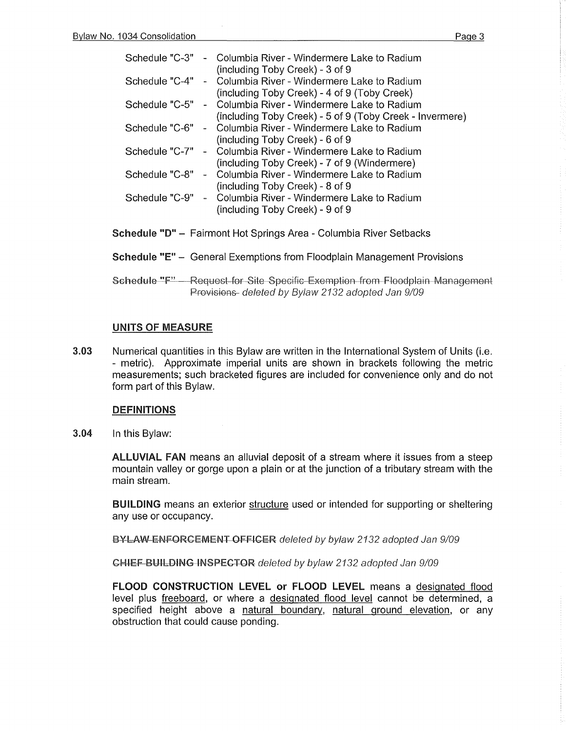| Schedule "C-3" | - Columbia River - Windermere Lake to Radium             |
|----------------|----------------------------------------------------------|
|                | (including Toby Creek) - 3 of 9                          |
| Schedule "C-4" | - Columbia River - Windermere Lake to Radium             |
|                | (including Toby Creek) - 4 of 9 (Toby Creek)             |
| Schedule "C-5" | - Columbia River - Windermere Lake to Radium             |
|                | (including Toby Creek) - 5 of 9 (Toby Creek - Invermere) |
| Schedule "C-6" | - Columbia River - Windermere Lake to Radium             |
|                | (including Toby Creek) - 6 of 9                          |
| Schedule "C-7" | - Columbia River - Windermere Lake to Radium             |
|                | (including Toby Creek) - 7 of 9 (Windermere)             |
| Schedule "C-8" | - Columbia River - Windermere Lake to Radium             |
|                | (including Toby Creek) - 8 of 9                          |
| Schedule "C-9" | - Columbia River - Windermere Lake to Radium             |
|                | (including Toby Creek) - 9 of 9                          |
|                |                                                          |

- Schedule "D" Fairmont Hot Springs Area Columbia River Setbacks
- Schedule "E" General Exemptions from Floodplain Management Provisions
- Schedule "F" Request for Site Specific Exemption from Floodplain Management Provisions- deleted by Bylaw 2132 adopted Jan 9/09

#### UNITS OF MEASURE

3.03 Numerical quantities in this Bylaw are written in the International System of Units (i.e. - metric). Approximate imperial units are shown in brackets following the metric measurements; such bracketed figures are included for convenience only and do not form part of this Bylaw.

#### DEFINITIONS

3.04 In this Bylaw:

ALLUVIAL FAN means an alluvial deposit of a stream where it issues from a steep mountain valley or gorge upon a plain or at the junction of a tributary stream with the main stream.

BUILDING means an exterior structure used or intended for supporting or sheltering any use or occupancy.

**BYLAW-ENFORGEMENT OFFICER** deleted by bylaw 2132 adopted Jan 9/09

GHIEF BUILDING INSPECTOR deleted by bylaw 2132 adopted Jan 9/09

FLOOD CONSTRUCTION LEVEL or FLOOD LEVEL means a designated flood level plus freeboard, or where a designated flood level cannot be determined, a specified height above a natural boundary, natural ground elevation, or any obstruction that could cause ponding.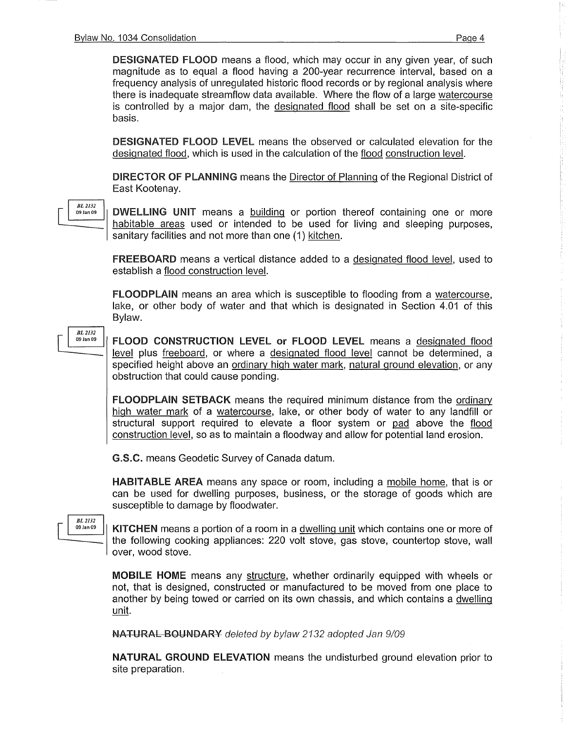DESIGNATED FLOOD means a flood, which may occur in any given year, of such magnitude as to equal a flood having a 200-year recurrence interval, based on a frequency analysis of unregulated historic flood records or by regional analysis where there is inadequate streamflow data available. Where the flow of a large watercourse is controlled by a major dam, the designated flood shall be set on a site-specific basis.

DESIGNATED FLOOD LEVEL means the observed or calculated elevation for the designated flood, which is used in the calculation of the flood construction level.

DIRECTOR OF PLANNING means the Director of Planning of the Regional District of East Kootenay.



DWELLING UNIT means a building or portion thereof containing one or more habitable areas used or intended to be used for living and sleeping purposes, sanitary facilities and not more than one (1) kitchen.

FREEBOARD means a vertical distance added to a designated flood level, used to establish a flood construction level.

FLOODPLAIN means an area which is susceptible to flooding from a watercourse, lake, or other body of water and that which is designated in Section 4.01 of this Bylaw.

*BL2132*  09 Jan 09

FLOOD CONSTRUCTION LEVEL or FLOOD LEVEL means a designated flood level plus freeboard, or where a designated flood level cannot be determined, a specified height above an ordinary high water mark, natural ground elevation, or any obstruction that could cause ponding.

FLOODPLAIN SETBACK means the required minimum distance from the ordinary high water mark of a watercourse, lake, or other body of water to any landfill or structural support required to elevate a floor system or pad above the flood construction level, so as to maintain a floodway and allow for potential land erosion.

G.S.C. means Geodetic Survey of Canada datum.

HABITABLE AREA means any space or room, including a mobile home, that is or can be used for dwelling purposes, business, or the storage of goods which are susceptible to damage by floodwater.

*BL 2132*<br>09 Jan 09

KITCHEN means a portion of a room in a dwelling unit which contains one or more of the following cooking appliances: 220 volt stove, gas stove, countertop stove, wall over, wood stove.

MOBILE HOME means any structure, whether ordinarily equipped with wheels or not, that is designed, constructed or manufactured to be moved from one place to another by being towed or carried on its own chassis, and which contains a dwelling unit.

NATURAL BOUNDARY deleted by bylaw 2132 adopted Jan 9/09

NATURAL GROUND ELEVATION means the undisturbed ground elevation prior to site preparation.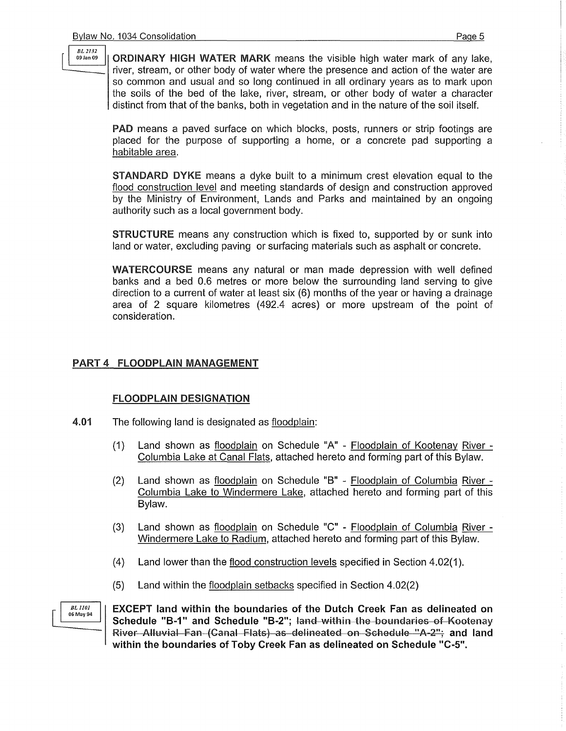$\frac{BL\,2132}{29\,Jan\,09}$  **ORDINARY HIGH WATER MARK** means the visible high water mark of any lake. river, stream, or other body of water where the presence and action of the water are so common and usual and so long continued in all ordinary years as to mark upon the soils of the bed of the lake, river, stream, or other body of water a character distinct from that of the banks, both in vegetation and in the nature of the soil itself.

PAD means a paved surface on which blocks, posts, runners or strip footings are placed for the purpose of supporting a home, or a concrete pad supporting a habitable area.

STANDARD DYKE means a dyke built to a minimum crest elevation equal to the flood construction level and meeting standards of design and construction approved by the Ministry of Environment, Lands and Parks and maintained by an ongoing authority such as a local government body.

STRUCTURE means any construction which is fixed to, supported by or sunk into land or water, excluding paving or surfacing materials such as asphalt or concrete.

WATERCOURSE means any natural or man made depression with well defined banks and a bed 0.6 metres or more below the surrounding land serving to give direction to a current of water at least six (6) months of the year or having a drainage area of 2 square kilometres (492.4 acres) or more upstream of the point of consideration.

#### PART 4 FLOODPLAIN MANAGEMENT

#### FLOODPLAIN DESIGNATION

- 4.01 The following land is designated as floodplain:
	- (1) Land shown as floodplain on Schedule "A" Floodplain of Kootenay River Columbia Lake at Canal Flats, attached hereto and forming part of this Bylaw.
	- (2) Land shown as floodplain on Schedule "B" Floodplain of Columbia River Columbia Lake to Windermere Lake, attached hereto and forming part of this Bylaw.
	- (3) Land shown as floodplain on Schedule "C" Floodplain of Columbia River Windermere Lake to Radium, attached hereto and forming part of this Bylaw.
	- (4) Land lower than the flood construction levels specified in Section 4.02(1 ).
	- (5) Land within the floodplain setbacks specified in Section 4.02(2)

*BL 1101*<br>06 May 94

EXCEPT land within the boundaries of the Dutch Creek Fan as delineated on Schedule "B-1" and Schedule "B-2"; land within the boundaries of Kootenay River Alluvial Fan (Canal Flats) as delineated on Schedule "A-2"; and land within the boundaries of Toby Creek Fan as delineated on Schedule "C-5".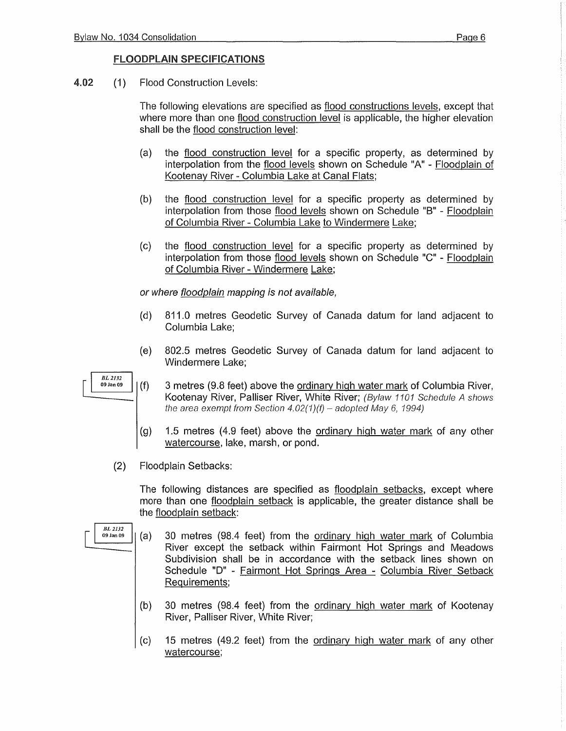#### FLOODPLAIN SPECIFICATIONS

4.02 (1) Flood Construction Levels:

The following elevations are specified as flood constructions levels, except that where more than one flood construction level is applicable, the higher elevation shall be the flood construction level:

- (a) the flood construction level for a specific property, as determined by interpolation from the flood levels shown on Schedule "A" - Floodplain of Kootenay River - Columbia Lake at Canal Flats;
- (b) the flood construction level for a specific property as determined by interpolation from those flood levels shown on Schedule "B" - Floodplain of Columbia River - Columbia Lake to Windermere Lake;
- (c) the flood construction level for a specific property as determined by interpolation from those flood levels shown on Schedule "C" - Floodplain of Columbia River - Windermere Lake;

or where floodplain mapping is not available,

- (d) 811.0 metres Geodetic Survey of Canada datum for land adjacent to Columbia Lake;
- (e) 802.5 metres Geodetic Survey of Canada datum for land adjacent to Windermere Lake;
- 3 metres (9.8 feet) above the ordinary high water mark of Columbia River, Kootenay River, Palliser River, White River; (Bylaw 1101 Schedule A shows the area exempt from Section  $4.02(1)(f)$  – adopted May 6, 1994)
- (g) 1.5 metres (4.9 feet) above the ordinary high water mark of any other watercourse, lake, marsh, or pond.
- (2) Floodplain Setbacks:

The following distances are specified as floodplain setbacks, except where more than one floodplain setback is applicable, the greater distance shall be the floodplain setback:

- (a) 30 metres (98.4 feet) from the ordinary high water mark of Columbia River except the setback within Fairmont Hot Springs and Meadows Subdivision shall be in accordance with the setback lines shown on Schedule "D" - Fairmont Hot Springs Area - Columbia River Setback Requirements;
	- (b) 30 metres (98.4 feet) from the ordinary high water mark of Kootenay River, Palliser River, White River;
	- (c) 15 metres (49.2 feet) from the ordinary high water mark of any other watercourse;



*BL2132* 

09 Jan 09

 $\vert \ \ \vert$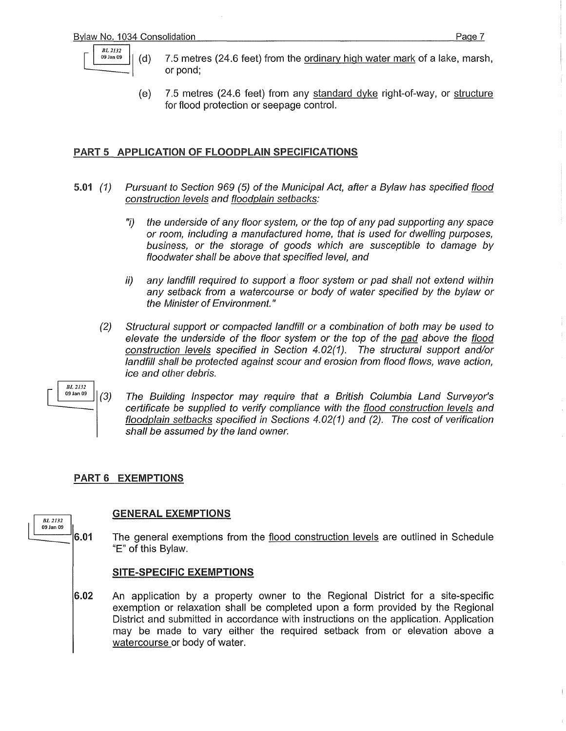

- 7.5 metres (24.6 feet) from the ordinary high water mark of a lake, marsh, or pond;
- (e) 7.5 metres (24.6 feet) from any standard dyke right-of-way, or structure for flood protection or seepage control.

#### PART 5 APPLICATION OF FLOODPLAIN SPECIFICATIONS

- 5.01 (1) Pursuant to Section 969 (5) of the Municipal Act, after a Bylaw has specified flood construction levels and floodplain setbacks:
	- "i) the underside of any floor system, or the top of any pad supporting any space or room, including a manufactured home, that is used for dwelling purposes, business, or the storage of goods which are susceptible to damage by floodwater shall be above that specified level, and
	- ii) any landfill required to support a floor system or pad shall not extend within any setback from a watercourse or body of water specified by the bylaw or the Minister of Environment."
	- (2) Structural support or compacted landfill or a combination of both may be used to elevate the underside of the floor system or the top of the pad above the flood construction levels specified in Section 4.02(1). The structural support and/or landfill shall be protected against scour and erosion from flood flows, wave action, ice and other debris.

 $\begin{array}{c|cc} & BL\,2I\,32 & \ BL\,2I\,32 & \end{array}$  The Building Inspector may require that a British Columbia Land Surveyor's certificate be supplied to verify compliance with the flood construction levels and floodplain setbacks specified in Sections 4.02(1) and (2). The cost of verification shall be assumed by the land owner.

#### PART 6 EXEMPTIONS

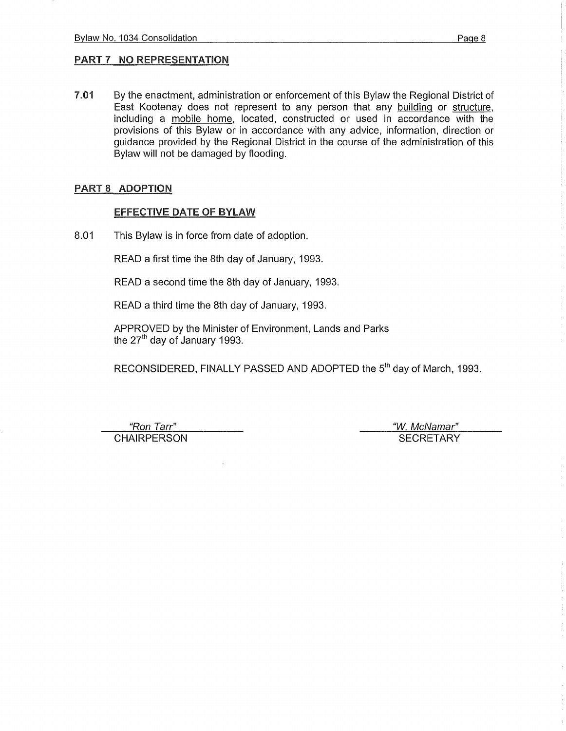7.01 By the enactment, administration or enforcement of this Bylaw the Regional District of East Kootenay does not represent to any person that any building or structure, including a mobile home, located, constructed or used in accordance with the provisions of this Bylaw or in accordance with any advice, information, direction or guidance provided by the Regional District in the course of the administration of this Bylaw will not be damaged by flooding.

#### PART 8 ADOPTION

#### EFFECTIVE DATE OF BYLAW

8.01 This Bylaw is in force from date of adoption.

READ a first time the 8th day of January, 1993.

READ a second time the 8th day of January, 1993.

READ a third time the 8th day of January, 1993.

APPROVED by the Minister of Environment, Lands and Parks the 27<sup>th</sup> day of January 1993.

RECONSIDERED, FINALLY PASSED AND ADOPTED the 5<sup>th</sup> day of March, 1993.

CHAIRPERSON **SECRETARY** 

"Ron Tarr" "W. McNamar"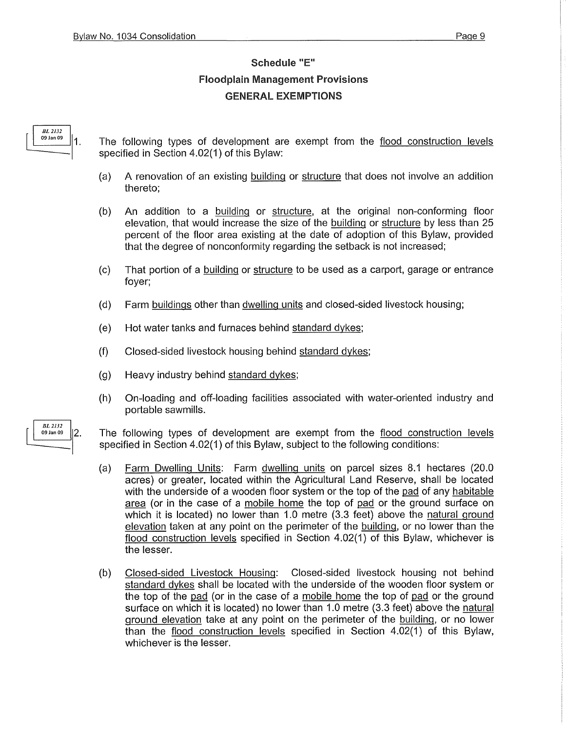### Schedule "E" Floodplain Management Provisions GENERAL EXEMPTIONS

# $\left[\begin{array}{c|c}\nBL\ 2132 \\
09\ \text{Jan}\ 09\n\end{array}\right]$  1 .

The following types of development are exempt from the flood construction levels specified in Section 4.02(1) of this Bylaw:

- (a) A renovation of an existing building or structure that does not involve an addition thereto;
- {b) An addition to a building or structure, at the original non-conforming floor elevation, that would increase the size of the building or structure by less than 25 percent of the floor area existing at the date of adoption of this Bylaw, provided that the degree of nonconformity regarding the setback is not increased;
- (c) That portion of a building or structure to be used as a carport, garage or entrance foyer;
- {d} Farm buildings other than dwelling units and closed-sided livestock housing;
- (e) Hot water tanks and furnaces behind standard dykes;
- (f) Closed-sided livestock housing behind standard dykes;
- (g) Heavy industry behind standard dykes;
- (h) On-loading and off-loading facilities associated with water-oriented industry and portable sawmills.
- The following types of development are exempt from the flood construction levels specified in Section 4.02(1) of this Bylaw, subject to the following conditions:
	- (a) Farm Dwelling Units: Farm dwelling units on parcel sizes 8.1 hectares (20.0 acres) or greater, located within the Agricultural Land Reserve, shall be located with the underside of a wooden floor system or the top of the pad of any habitable area (or in the case of a mobile home the top of pad or the ground surface on which it is located) no lower than 1.0 metre (3.3 feet) above the natural ground elevation taken at any point on the perimeter of the building, or no lower than the flood construction levels specified in Section 4.02(1) of this Bylaw, whichever is the lesser.
	- (b) Closed-sided Livestock Housing: Closed-sided livestock housing not behind standard dykes shall be located with the underside of the wooden floor system or the top of the pad (or in the case of a mobile home the top of pad or the ground surface on which it is located) no lower than 1.0 metre (3.3 feet) above the natural ground elevation take at any point on the perimeter of the building, or no lower than the flood construction levels specified in Section 4.02(1) of this Bylaw, whichever is the lesser.

**BL** 2132  $|2.$ 09 Jan 09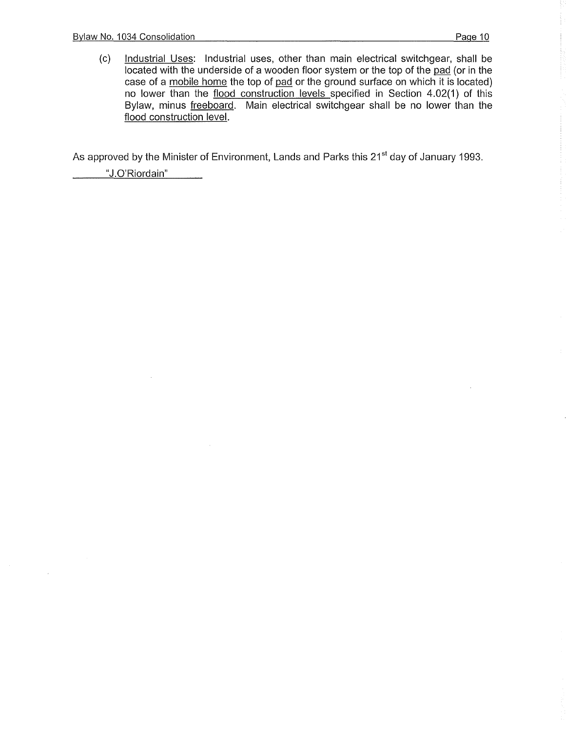(c) Industrial Uses: Industrial uses, other than main electrical switchgear, shall be located with the underside of a wooden floor system or the top of the pad (or in the case of a mobile home the top of pad or the ground surface on which it is located) no lower than the flood construction levels specified in Section 4.02(1) of this Bylaw, minus freeboard. Main electrical switchgear shall be no lower than the flood construction level.

As approved by the Minister of Environment, Lands and Parks this 21<sup>st</sup> day of January 1993.

"J.O'Riordain"